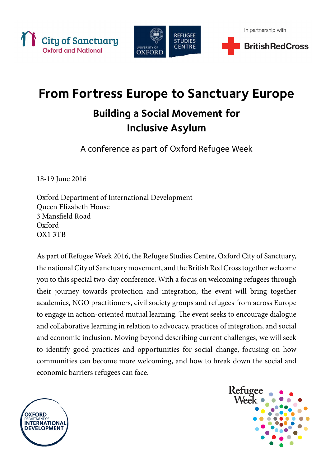



# **From Fortress Europe to Sanctuary Europe**

### **Building a Social Movement for Inclusive Asylum**

A conference as part of Oxford Refugee Week

18-19 June 2016

Oxford Department of International Development Queen Elizabeth House 3 Mansfield Road Oxford OX1 3TB

As part of Refugee Week 2016, the Refugee Studies Centre, Oxford City of Sanctuary, the national City of Sanctuary movement, and the British Red Cross together welcome you to this special two-day conference. With a focus on welcoming refugees through their journey towards protection and integration, the event will bring together academics, NGO practitioners, civil society groups and refugees from across Europe to engage in action-oriented mutual learning. The event seeks to encourage dialogue and collaborative learning in relation to advocacy, practices of integration, and social and economic inclusion. Moving beyond describing current challenges, we will seek to identify good practices and opportunities for social change, focusing on how communities can become more welcoming, and how to break down the social and economic barriers refugees can face.



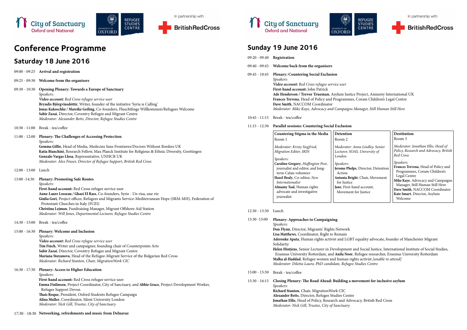





## **Conference Programme**

### **Saturday 18 June 2016**

In partnership with



ě

UNIVERSITY OF<br>OXFORD

**t and Social Justice, International Institute of Social Studies,** r, Refugee researcher, Erasmus University Rotterdam **Maghts activist [unable to attend]** *Moderator: Diletta Lauro, PhD candidate, Refugee Studies Centre*

#### movement for inclusive asylum

**Jonathan Elisa**, British Red Cross

|                                    | <b>Saturuay TO SURE ZO TO</b>                                                                                                                                                                                                                                                                                                                                                              |                 | 09:40 - 09:45 Welcome back from the organisers                                                                                                                                                                                                                                                                                                                        |                                                                                           |
|------------------------------------|--------------------------------------------------------------------------------------------------------------------------------------------------------------------------------------------------------------------------------------------------------------------------------------------------------------------------------------------------------------------------------------------|-----------------|-----------------------------------------------------------------------------------------------------------------------------------------------------------------------------------------------------------------------------------------------------------------------------------------------------------------------------------------------------------------------|-------------------------------------------------------------------------------------------|
| $09:00 - 09:25$                    | Arrival and registration                                                                                                                                                                                                                                                                                                                                                                   | $09:45 - 10:45$ | <b>Plenary: Countering Social Exclusion</b><br>Speakers:<br>Video account: Red Cross refugee service user<br>First-hand account: John Patrick<br>Ade Henderson / Trevor Trueman, Asylum Justic<br>Frances Trevena, Head of Policy and Programmes<br>Dave Smith, NACCOM Coordinator<br>Moderator: Mike Kaye, Advocacy and Campaigns<br>Break - tea/coffee              |                                                                                           |
| $09:25 - 09:30$<br>$09:30 - 10:30$ | Welcome from the organisers<br><b>Opening Plenary: Towards a Europe of Sanctuary</b><br>Speakers:<br>Video account: Red Cross refugee service user<br>Bryndís Björgvinsdóttir, Writer, founder of the initiative 'Syria is Calling'<br>Jonas Kakoschke / Mareike Geiling, Co-founders, Fluechtlinge Willkommen/Refugees Welcome                                                            |                 |                                                                                                                                                                                                                                                                                                                                                                       |                                                                                           |
|                                    | Sabir Zazai, Director, Coventry Refugee and Migrant Centre                                                                                                                                                                                                                                                                                                                                 | $10:45 - 11:15$ |                                                                                                                                                                                                                                                                                                                                                                       |                                                                                           |
|                                    | Moderator: Alexander Betts, Director, Refugee Studies Centre                                                                                                                                                                                                                                                                                                                               |                 |                                                                                                                                                                                                                                                                                                                                                                       |                                                                                           |
| $10:30 - 11:00$                    | Break - tea/coffee                                                                                                                                                                                                                                                                                                                                                                         | $11:15 - 12:30$ | <b>Parallel sessions: Countering Social Exclusion</b>                                                                                                                                                                                                                                                                                                                 |                                                                                           |
| $11:00 - 12:00$                    | <b>Plenary: The Challenges of Accessing Protection</b><br>Speakers:<br>Gemma Gillie, Head of Media, Medecins Sans Frontieres/Doctors Without Borders UK<br>Katia Bianchini, Research Fellow, Max Planck Institute for Religious & Ethnic Diversity, Goettingen<br>Gonzalo Vargas Llosa, Representative, UNHCR UK<br>Moderator: Alex Fraser, Director of Refugee Support, British Red Cross |                 | Countering Stigma in the Media<br>Room 1<br>Moderator: Kristy Siegfried,<br>Migration Editor, IRIN<br>Speakers:<br>Caroline Gregory, Huffington Post,                                                                                                                                                                                                                 | Detention<br>Room 2<br>Moderator: A<br>Lecturer, SO.<br>London<br>Speakers:               |
| $12:00 - 13:00$<br>13:00 - 14:30   | Lunch<br><b>Plenary: Promoting Safe Routes</b><br>Speakers:<br>First-hand account: Red Cross refugee service user<br>Anne-Laure Losseau / Ghazi El Rass, Co-founders, Syrie - Un visa, une vie<br>Giulia Gori, Project officer, Refugees and Migrants Service-Mediterranean Hope (SRM-MH), Federation of<br>Protestant Churches in Italy (FCEI)                                            |                 | journalist and editor, and long-<br>term Calais volunteer<br>Hazel Healy, Co-editor, New<br>Internationalist<br>Almamy Taal, Human rights<br>advocate and investigative<br>journalist                                                                                                                                                                                 | <b>Jerome Phelp</b><br>Action<br>Antonia Brig<br>for Justice<br>Jane, First-h<br>Movement |
|                                    | Christina Lejman, Fundraising Manager, Migrant Offshore Aid Station<br>Moderator: Will Jones, Departmental Lecturer, Refugee Studies Centre                                                                                                                                                                                                                                                | $12:30 - 13:30$ | Lunch                                                                                                                                                                                                                                                                                                                                                                 |                                                                                           |
| $14:30 - 15:00$                    | Break - tea/coffee                                                                                                                                                                                                                                                                                                                                                                         | 13:30 -15:00    | <b>Plenary: Approaches to Campaigning</b><br>Speakers:                                                                                                                                                                                                                                                                                                                |                                                                                           |
| $15:00 - 16:30$                    | Plenary: Welcome and Inclusion<br>Speakers:<br>Video account: Red Cross refugee service user<br>Tim Finch, Writer and campaigner, founding chair of Counterpoints Arts<br>Sabir Zazai, Director, Coventry Refugee and Migrant Centre<br>Mariana Stoyanova, Head of the Refugee-Migrant Service of the Bulgarian Red Cross<br>Moderator: Richard Stanton, Chair, Migration Work CIC         |                 | Don Flynn, Director, Migrants' Rights Network<br>Lisa Matthews, Coordinator, Right to Remain<br>Aderonke Apata, Human rights activist and LGBT<br>Solidarity<br>Helen Hintjens, Senior Lecturer in Development a<br>Erasmus University Rotterdam, and Anila Noor,<br>Malka al-Haddad, Refugee women and human rig<br>Moderator: Diletta Lauro, PhD candidate, Refugee |                                                                                           |
| $16:30 - 17:30$                    | <b>Plenary: Access to Higher Education</b><br>Speakers:                                                                                                                                                                                                                                                                                                                                    | $15:00 - 15:30$ | Break - tea/coffee                                                                                                                                                                                                                                                                                                                                                    |                                                                                           |
|                                    | First-hand account: Red Cross refugee service user<br>Emma Finlinson, Project Coordinator, City of Sanctuary, and Abbie Grace, Project Development Worker,<br>Refugee Support Devon<br>Thais Roque, President, Oxford Students Refugee Campaign<br>Alina Muller, Coordinator, Silent University London<br>Moderator: Nick Gill, Trustee, City of Sanctuary                                 | $15:30 - 16:15$ | Closing Plenary: The Road Ahead: Building a n<br>Speakers:<br>Richard Stanton, Chair, Migration Work CIC<br>Alexander Betts, Director, Refugee Studies Centre<br>Jonathan Ellis, Head of Policy, Research and Advo<br>Moderator: Nick Gill, Trustee, City of Sanctuary                                                                                                |                                                                                           |

**Sunday 19 June 2016**

**City of Sanctuary** 

**Oxford and National** 

09:20 - 09.40 **Registration**



**Reducerson** Justice Project, Amnesty International UK es, Coram Children's Legal Centre

*Moderator: Mike Kaye, Advocacy and Campaigns Manager, Still Human Still Here*

*Moderator: Anna Lindley, Senior Lecturer, SOAS, University of* 

**elps**, Director, Detention

**Angleright**, Chair, Movement

hand account, nt for Justice

#### **Destitution**

Room 3

*Moderator: Jonathan Ellis, Head of Policy, Research and Advocacy, British Red Cross*

*Speakers:* 

**Frances Trevena**, Head of Policy and Programmes, Coram Children's Legal Centre **Mike Kaye**, Advocacy and Campaigns Manager, Still Human Still Here **Dave Smith**, NACCOM Coordinator **Kate Smart**, Director, Asylum Welcome

**Adders** Apatality advocate, founder of Manchester Migrant